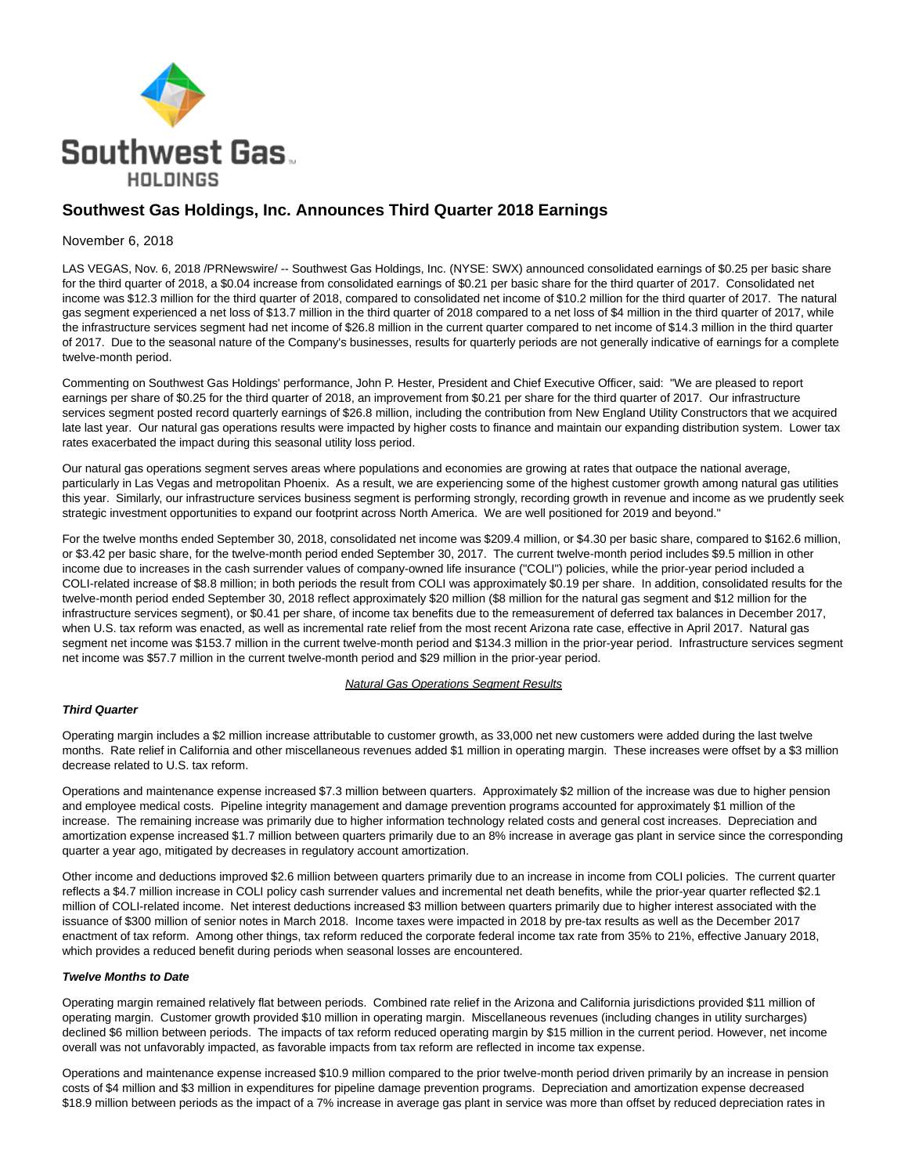

# **Southwest Gas Holdings, Inc. Announces Third Quarter 2018 Earnings**

## November 6, 2018

LAS VEGAS, Nov. 6, 2018 /PRNewswire/ -- Southwest Gas Holdings, Inc. (NYSE: SWX) announced consolidated earnings of \$0.25 per basic share for the third quarter of 2018, a \$0.04 increase from consolidated earnings of \$0.21 per basic share for the third quarter of 2017. Consolidated net income was \$12.3 million for the third quarter of 2018, compared to consolidated net income of \$10.2 million for the third quarter of 2017. The natural gas segment experienced a net loss of \$13.7 million in the third quarter of 2018 compared to a net loss of \$4 million in the third quarter of 2017, while the infrastructure services segment had net income of \$26.8 million in the current quarter compared to net income of \$14.3 million in the third quarter of 2017. Due to the seasonal nature of the Company's businesses, results for quarterly periods are not generally indicative of earnings for a complete twelve-month period.

Commenting on Southwest Gas Holdings' performance, John P. Hester, President and Chief Executive Officer, said: "We are pleased to report earnings per share of \$0.25 for the third quarter of 2018, an improvement from \$0.21 per share for the third quarter of 2017. Our infrastructure services segment posted record quarterly earnings of \$26.8 million, including the contribution from New England Utility Constructors that we acquired late last year. Our natural gas operations results were impacted by higher costs to finance and maintain our expanding distribution system. Lower tax rates exacerbated the impact during this seasonal utility loss period.

Our natural gas operations segment serves areas where populations and economies are growing at rates that outpace the national average, particularly in Las Vegas and metropolitan Phoenix. As a result, we are experiencing some of the highest customer growth among natural gas utilities this year. Similarly, our infrastructure services business segment is performing strongly, recording growth in revenue and income as we prudently seek strategic investment opportunities to expand our footprint across North America. We are well positioned for 2019 and beyond."

For the twelve months ended September 30, 2018, consolidated net income was \$209.4 million, or \$4.30 per basic share, compared to \$162.6 million, or \$3.42 per basic share, for the twelve-month period ended September 30, 2017. The current twelve-month period includes \$9.5 million in other income due to increases in the cash surrender values of company-owned life insurance ("COLI") policies, while the prior-year period included a COLI-related increase of \$8.8 million; in both periods the result from COLI was approximately \$0.19 per share. In addition, consolidated results for the twelve-month period ended September 30, 2018 reflect approximately \$20 million (\$8 million for the natural gas segment and \$12 million for the infrastructure services segment), or \$0.41 per share, of income tax benefits due to the remeasurement of deferred tax balances in December 2017, when U.S. tax reform was enacted, as well as incremental rate relief from the most recent Arizona rate case, effective in April 2017. Natural gas segment net income was \$153.7 million in the current twelve-month period and \$134.3 million in the prior-year period. Infrastructure services segment net income was \$57.7 million in the current twelve-month period and \$29 million in the prior-year period.

#### Natural Gas Operations Segment Results

## **Third Quarter**

Operating margin includes a \$2 million increase attributable to customer growth, as 33,000 net new customers were added during the last twelve months. Rate relief in California and other miscellaneous revenues added \$1 million in operating margin. These increases were offset by a \$3 million decrease related to U.S. tax reform.

Operations and maintenance expense increased \$7.3 million between quarters. Approximately \$2 million of the increase was due to higher pension and employee medical costs. Pipeline integrity management and damage prevention programs accounted for approximately \$1 million of the increase. The remaining increase was primarily due to higher information technology related costs and general cost increases. Depreciation and amortization expense increased \$1.7 million between quarters primarily due to an 8% increase in average gas plant in service since the corresponding quarter a year ago, mitigated by decreases in regulatory account amortization.

Other income and deductions improved \$2.6 million between quarters primarily due to an increase in income from COLI policies. The current quarter reflects a \$4.7 million increase in COLI policy cash surrender values and incremental net death benefits, while the prior-year quarter reflected \$2.1 million of COLI-related income. Net interest deductions increased \$3 million between quarters primarily due to higher interest associated with the issuance of \$300 million of senior notes in March 2018. Income taxes were impacted in 2018 by pre-tax results as well as the December 2017 enactment of tax reform. Among other things, tax reform reduced the corporate federal income tax rate from 35% to 21%, effective January 2018, which provides a reduced benefit during periods when seasonal losses are encountered.

#### **Twelve Months to Date**

Operating margin remained relatively flat between periods. Combined rate relief in the Arizona and California jurisdictions provided \$11 million of operating margin. Customer growth provided \$10 million in operating margin. Miscellaneous revenues (including changes in utility surcharges) declined \$6 million between periods. The impacts of tax reform reduced operating margin by \$15 million in the current period. However, net income overall was not unfavorably impacted, as favorable impacts from tax reform are reflected in income tax expense.

Operations and maintenance expense increased \$10.9 million compared to the prior twelve-month period driven primarily by an increase in pension costs of \$4 million and \$3 million in expenditures for pipeline damage prevention programs. Depreciation and amortization expense decreased \$18.9 million between periods as the impact of a 7% increase in average gas plant in service was more than offset by reduced depreciation rates in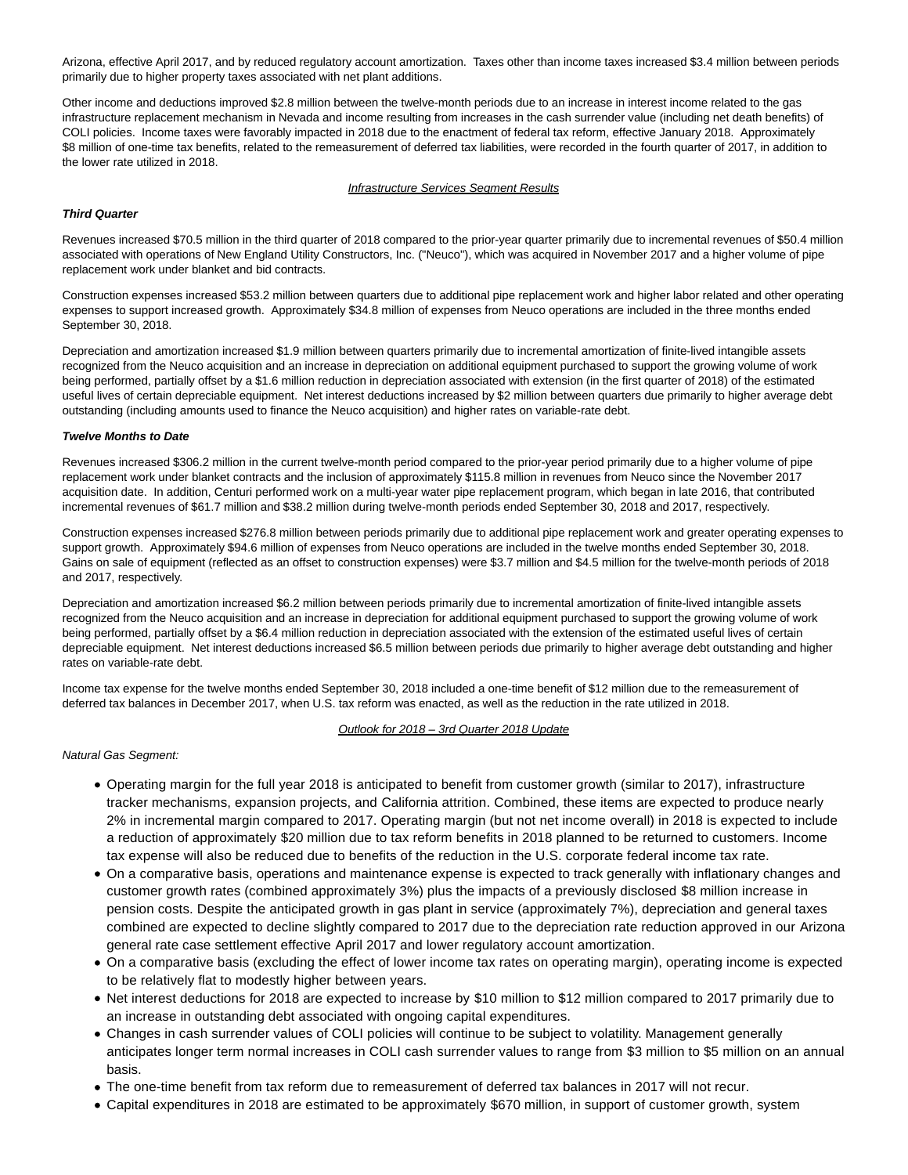Arizona, effective April 2017, and by reduced regulatory account amortization. Taxes other than income taxes increased \$3.4 million between periods primarily due to higher property taxes associated with net plant additions.

Other income and deductions improved \$2.8 million between the twelve-month periods due to an increase in interest income related to the gas infrastructure replacement mechanism in Nevada and income resulting from increases in the cash surrender value (including net death benefits) of COLI policies. Income taxes were favorably impacted in 2018 due to the enactment of federal tax reform, effective January 2018. Approximately \$8 million of one-time tax benefits, related to the remeasurement of deferred tax liabilities, were recorded in the fourth quarter of 2017, in addition to the lower rate utilized in 2018.

# **Infrastructure Services Segment Results**

## **Third Quarter**

Revenues increased \$70.5 million in the third quarter of 2018 compared to the prior-year quarter primarily due to incremental revenues of \$50.4 million associated with operations of New England Utility Constructors, Inc. ("Neuco"), which was acquired in November 2017 and a higher volume of pipe replacement work under blanket and bid contracts.

Construction expenses increased \$53.2 million between quarters due to additional pipe replacement work and higher labor related and other operating expenses to support increased growth. Approximately \$34.8 million of expenses from Neuco operations are included in the three months ended September 30, 2018.

Depreciation and amortization increased \$1.9 million between quarters primarily due to incremental amortization of finite-lived intangible assets recognized from the Neuco acquisition and an increase in depreciation on additional equipment purchased to support the growing volume of work being performed, partially offset by a \$1.6 million reduction in depreciation associated with extension (in the first quarter of 2018) of the estimated useful lives of certain depreciable equipment. Net interest deductions increased by \$2 million between quarters due primarily to higher average debt outstanding (including amounts used to finance the Neuco acquisition) and higher rates on variable-rate debt.

#### **Twelve Months to Date**

Revenues increased \$306.2 million in the current twelve-month period compared to the prior-year period primarily due to a higher volume of pipe replacement work under blanket contracts and the inclusion of approximately \$115.8 million in revenues from Neuco since the November 2017 acquisition date. In addition, Centuri performed work on a multi-year water pipe replacement program, which began in late 2016, that contributed incremental revenues of \$61.7 million and \$38.2 million during twelve-month periods ended September 30, 2018 and 2017, respectively.

Construction expenses increased \$276.8 million between periods primarily due to additional pipe replacement work and greater operating expenses to support growth. Approximately \$94.6 million of expenses from Neuco operations are included in the twelve months ended September 30, 2018. Gains on sale of equipment (reflected as an offset to construction expenses) were \$3.7 million and \$4.5 million for the twelve-month periods of 2018 and 2017, respectively.

Depreciation and amortization increased \$6.2 million between periods primarily due to incremental amortization of finite-lived intangible assets recognized from the Neuco acquisition and an increase in depreciation for additional equipment purchased to support the growing volume of work being performed, partially offset by a \$6.4 million reduction in depreciation associated with the extension of the estimated useful lives of certain depreciable equipment. Net interest deductions increased \$6.5 million between periods due primarily to higher average debt outstanding and higher rates on variable-rate debt.

Income tax expense for the twelve months ended September 30, 2018 included a one-time benefit of \$12 million due to the remeasurement of deferred tax balances in December 2017, when U.S. tax reform was enacted, as well as the reduction in the rate utilized in 2018.

#### Outlook for 2018 – 3rd Quarter 2018 Update

#### Natural Gas Segment:

- Operating margin for the full year 2018 is anticipated to benefit from customer growth (similar to 2017), infrastructure tracker mechanisms, expansion projects, and California attrition. Combined, these items are expected to produce nearly 2% in incremental margin compared to 2017. Operating margin (but not net income overall) in 2018 is expected to include a reduction of approximately \$20 million due to tax reform benefits in 2018 planned to be returned to customers. Income tax expense will also be reduced due to benefits of the reduction in the U.S. corporate federal income tax rate.
- On a comparative basis, operations and maintenance expense is expected to track generally with inflationary changes and customer growth rates (combined approximately 3%) plus the impacts of a previously disclosed \$8 million increase in pension costs. Despite the anticipated growth in gas plant in service (approximately 7%), depreciation and general taxes combined are expected to decline slightly compared to 2017 due to the depreciation rate reduction approved in our Arizona general rate case settlement effective April 2017 and lower regulatory account amortization.
- On a comparative basis (excluding the effect of lower income tax rates on operating margin), operating income is expected to be relatively flat to modestly higher between years.
- Net interest deductions for 2018 are expected to increase by \$10 million to \$12 million compared to 2017 primarily due to an increase in outstanding debt associated with ongoing capital expenditures.
- Changes in cash surrender values of COLI policies will continue to be subject to volatility. Management generally anticipates longer term normal increases in COLI cash surrender values to range from \$3 million to \$5 million on an annual basis.
- The one-time benefit from tax reform due to remeasurement of deferred tax balances in 2017 will not recur.
- Capital expenditures in 2018 are estimated to be approximately \$670 million, in support of customer growth, system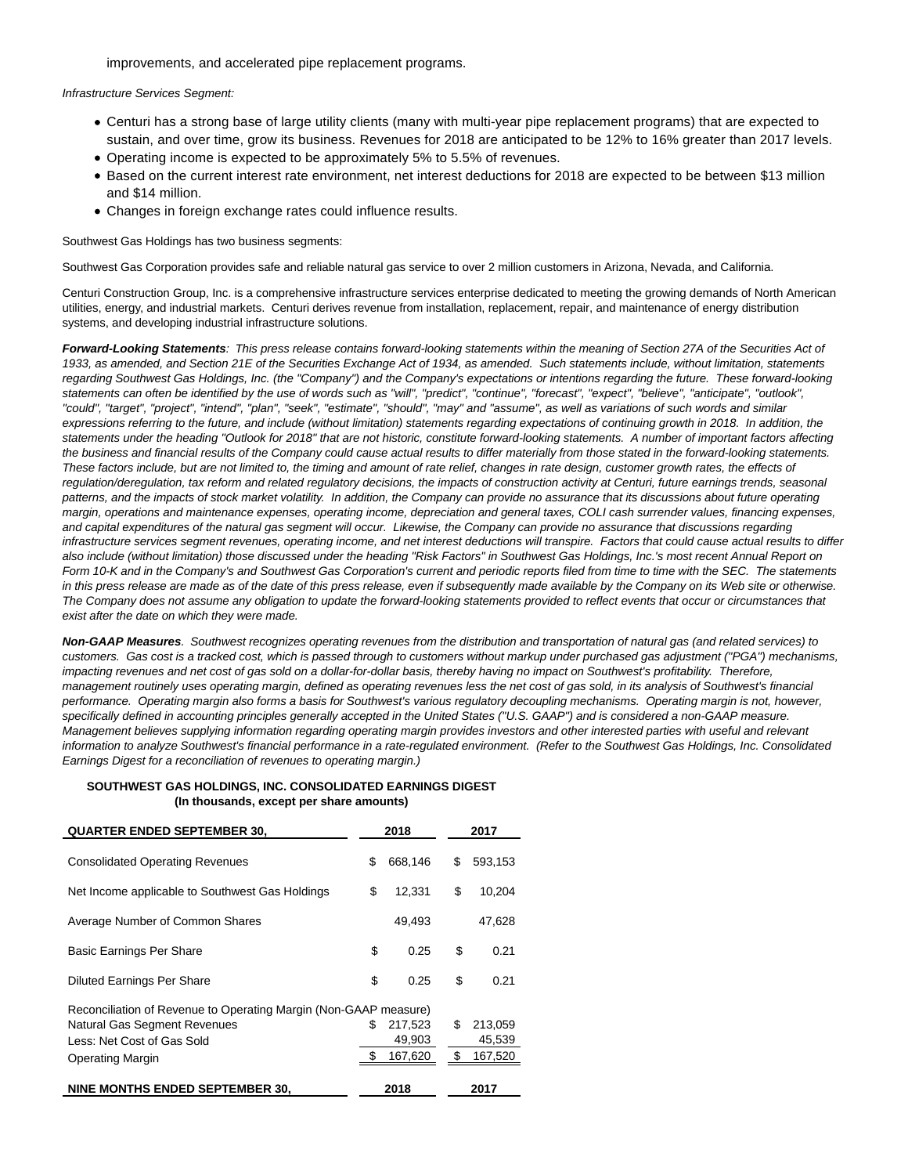improvements, and accelerated pipe replacement programs.

#### Infrastructure Services Segment:

- Centuri has a strong base of large utility clients (many with multi-year pipe replacement programs) that are expected to sustain, and over time, grow its business. Revenues for 2018 are anticipated to be 12% to 16% greater than 2017 levels.
- Operating income is expected to be approximately 5% to 5.5% of revenues.
- Based on the current interest rate environment, net interest deductions for 2018 are expected to be between \$13 million and \$14 million.
- Changes in foreign exchange rates could influence results.

Southwest Gas Holdings has two business segments:

Southwest Gas Corporation provides safe and reliable natural gas service to over 2 million customers in Arizona, Nevada, and California.

Centuri Construction Group, Inc. is a comprehensive infrastructure services enterprise dedicated to meeting the growing demands of North American utilities, energy, and industrial markets. Centuri derives revenue from installation, replacement, repair, and maintenance of energy distribution systems, and developing industrial infrastructure solutions.

**Forward-Looking Statements**: This press release contains forward-looking statements within the meaning of Section 27A of the Securities Act of 1933, as amended, and Section 21E of the Securities Exchange Act of 1934, as amended. Such statements include, without limitation, statements regarding Southwest Gas Holdings, Inc. (the "Company") and the Company's expectations or intentions regarding the future. These forward-looking statements can often be identified by the use of words such as "will", "predict", "continue", "forecast", "expect", "believe", "anticipate", "outlook", "could", "target", "project", "intend", "plan", "seek", "estimate", "should", "may" and "assume", as well as variations of such words and similar expressions referring to the future, and include (without limitation) statements regarding expectations of continuing growth in 2018. In addition, the statements under the heading "Outlook for 2018" that are not historic, constitute forward-looking statements. A number of important factors affecting the business and financial results of the Company could cause actual results to differ materially from those stated in the forward-looking statements. These factors include, but are not limited to, the timing and amount of rate relief, changes in rate design, customer growth rates, the effects of regulation/deregulation, tax reform and related regulatory decisions, the impacts of construction activity at Centuri, future earnings trends, seasonal patterns, and the impacts of stock market volatility. In addition, the Company can provide no assurance that its discussions about future operating margin, operations and maintenance expenses, operating income, depreciation and general taxes, COLI cash surrender values, financing expenses, and capital expenditures of the natural gas segment will occur. Likewise, the Company can provide no assurance that discussions regarding infrastructure services segment revenues, operating income, and net interest deductions will transpire. Factors that could cause actual results to differ also include (without limitation) those discussed under the heading "Risk Factors" in Southwest Gas Holdings, Inc.'s most recent Annual Report on Form 10-K and in the Company's and Southwest Gas Corporation's current and periodic reports filed from time to time with the SEC. The statements in this press release are made as of the date of this press release, even if subsequently made available by the Company on its Web site or otherwise. The Company does not assume any obligation to update the forward-looking statements provided to reflect events that occur or circumstances that exist after the date on which they were made.

**Non-GAAP Measures**. Southwest recognizes operating revenues from the distribution and transportation of natural gas (and related services) to customers. Gas cost is a tracked cost, which is passed through to customers without markup under purchased gas adjustment ("PGA") mechanisms, impacting revenues and net cost of gas sold on a dollar-for-dollar basis, thereby having no impact on Southwest's profitability. Therefore, management routinely uses operating margin, defined as operating revenues less the net cost of gas sold, in its analysis of Southwest's financial performance. Operating margin also forms a basis for Southwest's various regulatory decoupling mechanisms. Operating margin is not, however, specifically defined in accounting principles generally accepted in the United States ("U.S. GAAP") and is considered a non-GAAP measure. Management believes supplying information regarding operating margin provides investors and other interested parties with useful and relevant information to analyze Southwest's financial performance in a rate-regulated environment. (Refer to the Southwest Gas Holdings, Inc. Consolidated Earnings Digest for a reconciliation of revenues to operating margin.)

#### **SOUTHWEST GAS HOLDINGS, INC. CONSOLIDATED EARNINGS DIGEST (In thousands, except per share amounts)**

| <b>QUARTER ENDED SEPTEMBER 30.</b>                               | 2018 |         | 2017          |  |
|------------------------------------------------------------------|------|---------|---------------|--|
|                                                                  |      |         |               |  |
| <b>Consolidated Operating Revenues</b>                           | \$   | 668,146 | \$<br>593,153 |  |
| Net Income applicable to Southwest Gas Holdings                  | \$   | 12,331  | \$<br>10,204  |  |
| Average Number of Common Shares                                  |      | 49,493  | 47,628        |  |
| <b>Basic Earnings Per Share</b>                                  | \$   | 0.25    | \$<br>0.21    |  |
| <b>Diluted Earnings Per Share</b>                                | \$   | 0.25    | \$<br>0.21    |  |
| Reconciliation of Revenue to Operating Margin (Non-GAAP measure) |      |         |               |  |
| <b>Natural Gas Segment Revenues</b>                              | \$   | 217,523 | \$<br>213,059 |  |
| Less: Net Cost of Gas Sold                                       |      | 49,903  | 45,539        |  |
| <b>Operating Margin</b>                                          |      | 167,620 | \$<br>167,520 |  |
| NINE MONTHS ENDED SEPTEMBER 30,                                  |      | 2018    | 2017          |  |